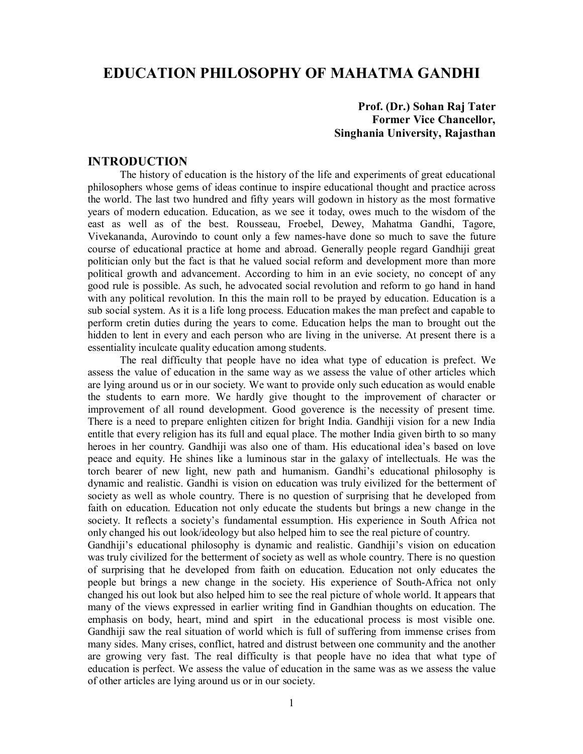# **EDUCATION PHILOSOPHY OF MAHATMA GANDHI**

# **Prof. (Dr.) Sohan Raj Tater Former Vice Chancellor, Singhania University, Rajasthan**

# **INTRODUCTION**

The history of education is the history of the life and experiments of great educational philosophers whose gems of ideas continue to inspire educational thought and practice across the world. The last two hundred and fifty years will godown in history as the most formative years of modern education. Education, as we see it today, owes much to the wisdom of the east as well as of the best. Rousseau, Froebel, Dewey, Mahatma Gandhi, Tagore, Vivekananda, Aurovindo to count only a few names-have done so much to save the future course of educational practice at home and abroad. Generally people regard Gandhiji great politician only but the fact is that he valued social reform and development more than more political growth and advancement. According to him in an evie society, no concept of any good rule is possible. As such, he advocated social revolution and reform to go hand in hand with any political revolution. In this the main roll to be prayed by education. Education is a sub social system. As it is a life long process. Education makes the man prefect and capable to perform cretin duties during the years to come. Education helps the man to brought out the hidden to lent in every and each person who are living in the universe. At present there is a essentiality inculcate quality education among students.

The real difficulty that people have no idea what type of education is prefect. We assess the value of education in the same way as we assess the value of other articles which are lying around us or in our society. We want to provide only such education as would enable the students to earn more. We hardly give thought to the improvement of character or improvement of all round development. Good goverence is the necessity of present time. There is a need to prepare enlighten citizen for bright India. Gandhiji vision for a new India entitle that every religion has its full and equal place. The mother India given birth to so many heroes in her country. Gandhiji was also one of tham. His educational idea's based on love peace and equity. He shines like a luminous star in the galaxy of intellectuals. He was the torch bearer of new light, new path and humanism. Gandhi's educational philosophy is dynamic and realistic. Gandhi is vision on education was truly eivilized for the betterment of society as well as whole country. There is no question of surprising that he developed from faith on education. Education not only educate the students but brings a new change in the society. It reflects a society's fundamental essumption. His experience in South Africa not only changed his out look/ideology but also helped him to see the real picture of country.

Gandhiji's educational philosophy is dynamic and realistic. Gandhiji's vision on education was truly civilized for the betterment of society as well as whole country. There is no question of surprising that he developed from faith on education. Education not only educates the people but brings a new change in the society. His experience of South-Africa not only changed his out look but also helped him to see the real picture of whole world. It appears that many of the views expressed in earlier writing find in Gandhian thoughts on education. The emphasis on body, heart, mind and spirt in the educational process is most visible one. Gandhiji saw the real situation of world which is full of suffering from immense crises from many sides. Many crises, conflict, hatred and distrust between one community and the another are growing very fast. The real difficulty is that people have no idea that what type of education is perfect. We assess the value of education in the same was as we assess the value of other articles are lying around us or in our society.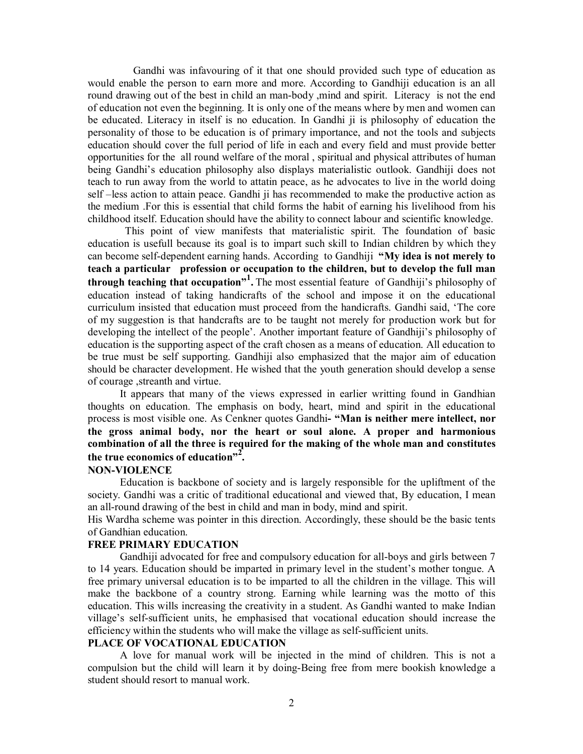Gandhi was infavouring of it that one should provided such type of education as would enable the person to earn more and more. According to Gandhiji education is an all round drawing out of the best in child an man-body ,mind and spirit. Literacy is not the end of education not even the beginning. It is only one of the means where by men and women can be educated. Literacy in itself is no education. In Gandhi ji is philosophy of education the personality of those to be education is of primary importance, and not the tools and subjects education should cover the full period of life in each and every field and must provide better opportunities for the all round welfare of the moral , spiritual and physical attributes of human being Gandhi's education philosophy also displays materialistic outlook. Gandhiji does not teach to run away from the world to attatin peace, as he advocates to live in the world doing self –less action to attain peace. Gandhi ji has recommended to make the productive action as the medium .For this is essential that child forms the habit of earning his livelihood from his childhood itself. Education should have the ability to connect labour and scientific knowledge.

 This point of view manifests that materialistic spirit. The foundation of basic education is usefull because its goal is to impart such skill to Indian children by which they can become self-dependent earning hands. According to Gandhiji **"My idea is not merely to teach a particular profession or occupation to the children, but to develop the full man through teaching that occupation"<sup>1</sup> .** The most essential feature of Gandhiji's philosophy of education instead of taking handicrafts of the school and impose it on the educational curriculum insisted that education must proceed from the handicrafts. Gandhi said, 'The core of my suggestion is that handcrafts are to be taught not merely for production work but for developing the intellect of the people'. Another important feature of Gandhiji's philosophy of education is the supporting aspect of the craft chosen as a means of education. All education to be true must be self supporting. Gandhiji also emphasized that the major aim of education should be character development. He wished that the youth generation should develop a sense of courage ,streanth and virtue.

It appears that many of the views expressed in earlier writting found in Gandhian thoughts on education. The emphasis on body, heart, mind and spirit in the educational process is most visible one. As Cenkner quotes Gandhi**- "Man is neither mere intellect, nor the gross animal body, nor the heart or soul alone. A proper and harmonious combination of all the three is required for the making of the whole man and constitutes the true economics of education"<sup>2</sup> .**

#### **NON-VIOLENCE**

Education is backbone of society and is largely responsible for the upliftment of the society. Gandhi was a critic of traditional educational and viewed that, By education, I mean an all-round drawing of the best in child and man in body, mind and spirit.

His Wardha scheme was pointer in this direction. Accordingly, these should be the basic tents of Gandhian education.

# **FREE PRIMARY EDUCATION**

Gandhiji advocated for free and compulsory education for all-boys and girls between 7 to 14 years. Education should be imparted in primary level in the student's mother tongue. A free primary universal education is to be imparted to all the children in the village. This will make the backbone of a country strong. Earning while learning was the motto of this education. This wills increasing the creativity in a student. As Gandhi wanted to make Indian village's self-sufficient units, he emphasised that vocational education should increase the efficiency within the students who will make the village as self-sufficient units.

# **PLACE OF VOCATIONAL EDUCATION**

A love for manual work will be injected in the mind of children. This is not a compulsion but the child will learn it by doing-Being free from mere bookish knowledge a student should resort to manual work.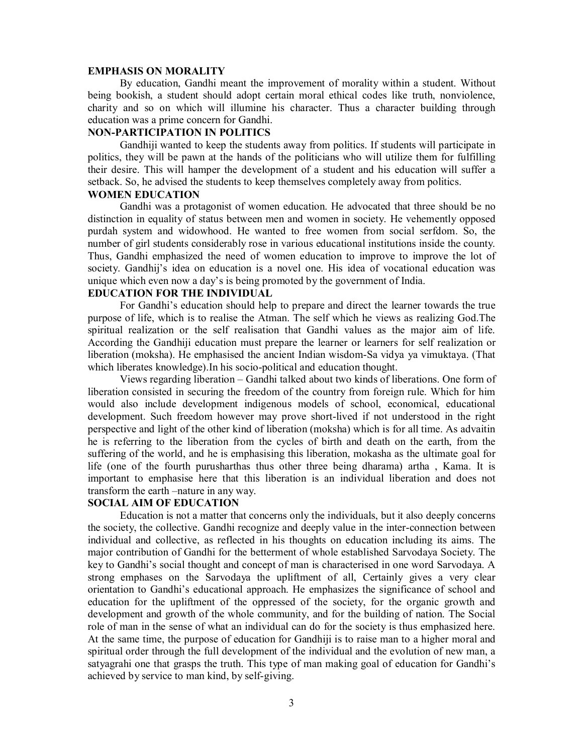#### **EMPHASIS ON MORALITY**

By education, Gandhi meant the improvement of morality within a student. Without being bookish, a student should adopt certain moral ethical codes like truth, nonviolence, charity and so on which will illumine his character. Thus a character building through education was a prime concern for Gandhi.

# **NON-PARTICIPATION IN POLITICS**

Gandhiji wanted to keep the students away from politics. If students will participate in politics, they will be pawn at the hands of the politicians who will utilize them for fulfilling their desire. This will hamper the development of a student and his education will suffer a setback. So, he advised the students to keep themselves completely away from politics.

# **WOMEN EDUCATION**

Gandhi was a protagonist of women education. He advocated that three should be no distinction in equality of status between men and women in society. He vehemently opposed purdah system and widowhood. He wanted to free women from social serfdom. So, the number of girl students considerably rose in various educational institutions inside the county. Thus, Gandhi emphasized the need of women education to improve to improve the lot of society. Gandhij's idea on education is a novel one. His idea of vocational education was unique which even now a day's is being promoted by the government of India.

# **EDUCATION FOR THE INDIVIDUAL**

For Gandhi's education should help to prepare and direct the learner towards the true purpose of life, which is to realise the Atman. The self which he views as realizing God.The spiritual realization or the self realisation that Gandhi values as the major aim of life. According the Gandhiji education must prepare the learner or learners for self realization or liberation (moksha). He emphasised the ancient Indian wisdom-Sa vidya ya vimuktaya. (That which liberates knowledge).In his socio-political and education thought.

Views regarding liberation – Gandhi talked about two kinds of liberations. One form of liberation consisted in securing the freedom of the country from foreign rule. Which for him would also include development indigenous models of school, economical, educational development. Such freedom however may prove short-lived if not understood in the right perspective and light of the other kind of liberation (moksha) which is for all time. As advaitin he is referring to the liberation from the cycles of birth and death on the earth, from the suffering of the world, and he is emphasising this liberation, mokasha as the ultimate goal for life (one of the fourth purusharthas thus other three being dharama) artha , Kama. It is important to emphasise here that this liberation is an individual liberation and does not transform the earth –nature in any way.

# **SOCIAL AIM OF EDUCATION**

Education is not a matter that concerns only the individuals, but it also deeply concerns the society, the collective. Gandhi recognize and deeply value in the inter-connection between individual and collective, as reflected in his thoughts on education including its aims. The major contribution of Gandhi for the betterment of whole established Sarvodaya Society. The key to Gandhi's social thought and concept of man is characterised in one word Sarvodaya. A strong emphases on the Sarvodaya the upliftment of all, Certainly gives a very clear orientation to Gandhi's educational approach. He emphasizes the significance of school and education for the upliftment of the oppressed of the society, for the organic growth and development and growth of the whole community, and for the building of nation. The Social role of man in the sense of what an individual can do for the society is thus emphasized here. At the same time, the purpose of education for Gandhiji is to raise man to a higher moral and spiritual order through the full development of the individual and the evolution of new man, a satyagrahi one that grasps the truth. This type of man making goal of education for Gandhi's achieved by service to man kind, by self-giving.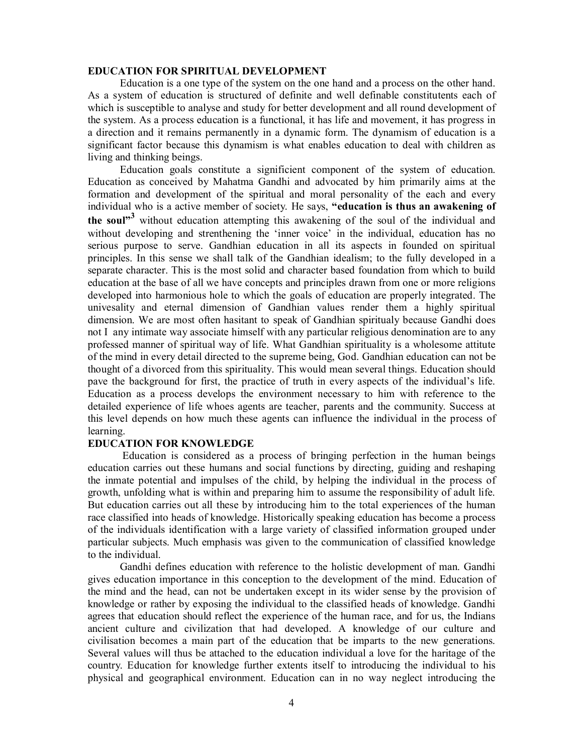#### **EDUCATION FOR SPIRITUAL DEVELOPMENT**

Education is a one type of the system on the one hand and a process on the other hand. As a system of education is structured of definite and well definable constitutents each of which is susceptible to analyse and study for better development and all round development of the system. As a process education is a functional, it has life and movement, it has progress in a direction and it remains permanently in a dynamic form. The dynamism of education is a significant factor because this dynamism is what enables education to deal with children as living and thinking beings.

Education goals constitute a significient component of the system of education. Education as conceived by Mahatma Gandhi and advocated by him primarily aims at the formation and development of the spiritual and moral personality of the each and every individual who is a active member of society. He says, **"education is thus an awakening of the soul"<sup>3</sup>** without education attempting this awakening of the soul of the individual and without developing and strenthening the 'inner voice' in the individual, education has no serious purpose to serve. Gandhian education in all its aspects in founded on spiritual principles. In this sense we shall talk of the Gandhian idealism; to the fully developed in a separate character. This is the most solid and character based foundation from which to build education at the base of all we have concepts and principles drawn from one or more religions developed into harmonious hole to which the goals of education are properly integrated. The univesality and eternal dimension of Gandhian values render them a highly spiritual dimension. We are most often hasitant to speak of Gandhian spiritualy because Gandhi does not I any intimate way associate himself with any particular religious denomination are to any professed manner of spiritual way of life. What Gandhian spirituality is a wholesome attitute of the mind in every detail directed to the supreme being, God. Gandhian education can not be thought of a divorced from this spirituality. This would mean several things. Education should pave the background for first, the practice of truth in every aspects of the individual's life. Education as a process develops the environment necessary to him with reference to the detailed experience of life whoes agents are teacher, parents and the community. Success at this level depends on how much these agents can influence the individual in the process of learning.

# **EDUCATION FOR KNOWLEDGE**

Education is considered as a process of bringing perfection in the human beings education carries out these humans and social functions by directing, guiding and reshaping the inmate potential and impulses of the child, by helping the individual in the process of growth, unfolding what is within and preparing him to assume the responsibility of adult life. But education carries out all these by introducing him to the total experiences of the human race classified into heads of knowledge. Historically speaking education has become a process of the individuals identification with a large variety of classified information grouped under particular subjects. Much emphasis was given to the communication of classified knowledge to the individual.

Gandhi defines education with reference to the holistic development of man. Gandhi gives education importance in this conception to the development of the mind. Education of the mind and the head, can not be undertaken except in its wider sense by the provision of knowledge or rather by exposing the individual to the classified heads of knowledge. Gandhi agrees that education should reflect the experience of the human race, and for us, the Indians ancient culture and civilization that had developed. A knowledge of our culture and civilisation becomes a main part of the education that be imparts to the new generations. Several values will thus be attached to the education individual a love for the haritage of the country. Education for knowledge further extents itself to introducing the individual to his physical and geographical environment. Education can in no way neglect introducing the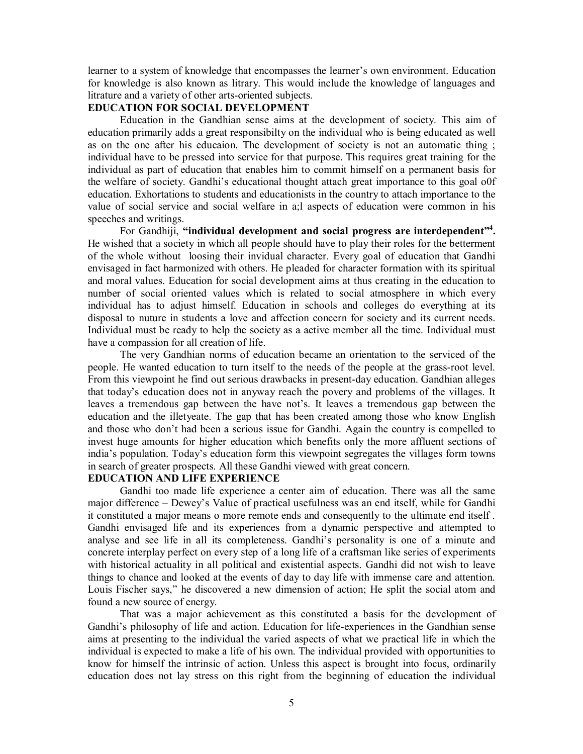learner to a system of knowledge that encompasses the learner's own environment. Education for knowledge is also known as litrary. This would include the knowledge of languages and litrature and a variety of other arts-oriented subjects.

## **EDUCATION FOR SOCIAL DEVELOPMENT**

Education in the Gandhian sense aims at the development of society. This aim of education primarily adds a great responsibilty on the individual who is being educated as well as on the one after his educaion. The development of society is not an automatic thing ; individual have to be pressed into service for that purpose. This requires great training for the individual as part of education that enables him to commit himself on a permanent basis for the welfare of society. Gandhi's educational thought attach great importance to this goal o0f education. Exhortations to students and educationists in the country to attach importance to the value of social service and social welfare in a;l aspects of education were common in his speeches and writings.

For Gandhiji, "individual development and social progress are interdependent"<sup>4</sup>. He wished that a society in which all people should have to play their roles for the betterment of the whole without loosing their invidual character. Every goal of education that Gandhi envisaged in fact harmonized with others. He pleaded for character formation with its spiritual and moral values. Education for social development aims at thus creating in the education to number of social oriented values which is related to social atmosphere in which every individual has to adjust himself. Education in schools and colleges do everything at its disposal to nuture in students a love and affection concern for society and its current needs. Individual must be ready to help the society as a active member all the time. Individual must have a compassion for all creation of life.

The very Gandhian norms of education became an orientation to the serviced of the people. He wanted education to turn itself to the needs of the people at the grass-root level. From this viewpoint he find out serious drawbacks in present-day education. Gandhian alleges that today's education does not in anyway reach the povery and problems of the villages. It leaves a tremendous gap between the have not's. It leaves a tremendous gap between the education and the illetyeate. The gap that has been created among those who know English and those who don't had been a serious issue for Gandhi. Again the country is compelled to invest huge amounts for higher education which benefits only the more affluent sections of india's population. Today's education form this viewpoint segregates the villages form towns in search of greater prospects. All these Gandhi viewed with great concern.

# **EDUCATION AND LIFE EXPERIENCE**

Gandhi too made life experience a center aim of education. There was all the same major difference – Dewey's Value of practical usefulness was an end itself, while for Gandhi it constituted a major means o more remote ends and consequently to the ultimate end itself . Gandhi envisaged life and its experiences from a dynamic perspective and attempted to analyse and see life in all its completeness. Gandhi's personality is one of a minute and concrete interplay perfect on every step of a long life of a craftsman like series of experiments with historical actuality in all political and existential aspects. Gandhi did not wish to leave things to chance and looked at the events of day to day life with immense care and attention. Louis Fischer says," he discovered a new dimension of action; He split the social atom and found a new source of energy.

That was a major achievement as this constituted a basis for the development of Gandhi's philosophy of life and action. Education for life-experiences in the Gandhian sense aims at presenting to the individual the varied aspects of what we practical life in which the individual is expected to make a life of his own. The individual provided with opportunities to know for himself the intrinsic of action. Unless this aspect is brought into focus, ordinarily education does not lay stress on this right from the beginning of education the individual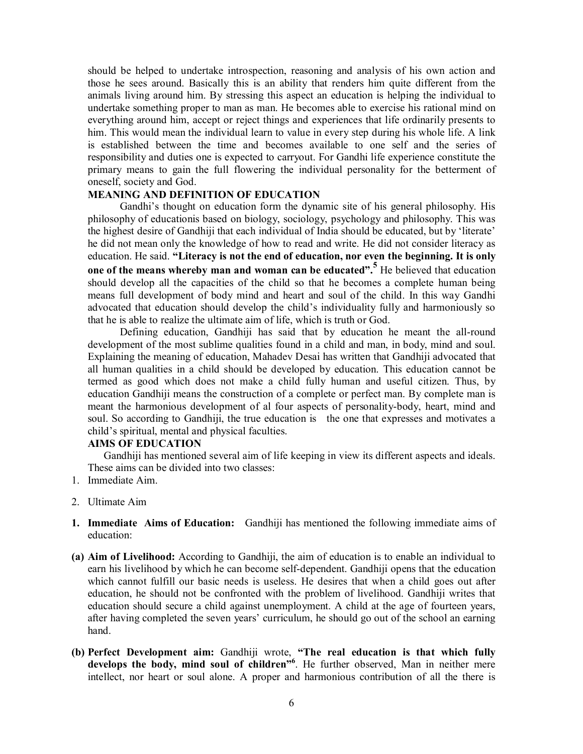should be helped to undertake introspection, reasoning and analysis of his own action and those he sees around. Basically this is an ability that renders him quite different from the animals living around him. By stressing this aspect an education is helping the individual to undertake something proper to man as man. He becomes able to exercise his rational mind on everything around him, accept or reject things and experiences that life ordinarily presents to him. This would mean the individual learn to value in every step during his whole life. A link is established between the time and becomes available to one self and the series of responsibility and duties one is expected to carryout. For Gandhi life experience constitute the primary means to gain the full flowering the individual personality for the betterment of oneself, society and God.

# **MEANING AND DEFINITION OF EDUCATION**

Gandhi's thought on education form the dynamic site of his general philosophy. His philosophy of educationis based on biology, sociology, psychology and philosophy. This was the highest desire of Gandhiji that each individual of India should be educated, but by 'literate' he did not mean only the knowledge of how to read and write. He did not consider literacy as education. He said. **"Literacy is not the end of education, nor even the beginning. It is only one of the means whereby man and woman can be educated".<sup>5</sup>** He believed that education should develop all the capacities of the child so that he becomes a complete human being means full development of body mind and heart and soul of the child. In this way Gandhi advocated that education should develop the child's individuality fully and harmoniously so that he is able to realize the ultimate aim of life, which is truth or God.

Defining education, Gandhiji has said that by education he meant the all-round development of the most sublime qualities found in a child and man, in body, mind and soul. Explaining the meaning of education, Mahadev Desai has written that Gandhiji advocated that all human qualities in a child should be developed by education. This education cannot be termed as good which does not make a child fully human and useful citizen. Thus, by education Gandhiji means the construction of a complete or perfect man. By complete man is meant the harmonious development of al four aspects of personality-body, heart, mind and soul. So according to Gandhiji, the true education is the one that expresses and motivates a child's spiritual, mental and physical faculties.

# **AIMS OF EDUCATION**

Gandhiji has mentioned several aim of life keeping in view its different aspects and ideals. These aims can be divided into two classes:

- 1. Immediate Aim.
- 2. Ultimate Aim
- **1. Immediate Aims of Education:** Gandhiji has mentioned the following immediate aims of education:
- **(a) Aim of Livelihood:** According to Gandhiji, the aim of education is to enable an individual to earn his livelihood by which he can become self-dependent. Gandhiji opens that the education which cannot fulfill our basic needs is useless. He desires that when a child goes out after education, he should not be confronted with the problem of livelihood. Gandhiji writes that education should secure a child against unemployment. A child at the age of fourteen years, after having completed the seven years' curriculum, he should go out of the school an earning hand.
- **(b) Perfect Development aim:** Gandhiji wrote, **"The real education is that which fully develops the body, mind soul of children"<sup>6</sup>** . He further observed, Man in neither mere intellect, nor heart or soul alone. A proper and harmonious contribution of all the there is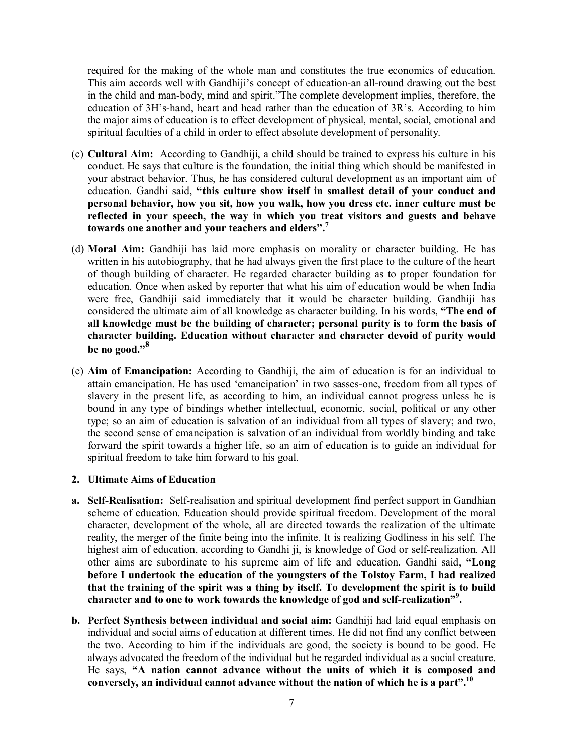required for the making of the whole man and constitutes the true economics of education. This aim accords well with Gandhiji's concept of education-an all-round drawing out the best in the child and man-body, mind and spirit."The complete development implies, therefore, the education of 3H's-hand, heart and head rather than the education of 3R's. According to him the major aims of education is to effect development of physical, mental, social, emotional and spiritual faculties of a child in order to effect absolute development of personality.

- (c) **Cultural Aim:** According to Gandhiji, a child should be trained to express his culture in his conduct. He says that culture is the foundation, the initial thing which should be manifested in your abstract behavior. Thus, he has considered cultural development as an important aim of education. Gandhi said, **"this culture show itself in smallest detail of your conduct and personal behavior, how you sit, how you walk, how you dress etc. inner culture must be reflected in your speech, the way in which you treat visitors and guests and behave towards one another and your teachers and elders".<sup>7</sup>**
- (d) **Moral Aim:** Gandhiji has laid more emphasis on morality or character building. He has written in his autobiography, that he had always given the first place to the culture of the heart of though building of character. He regarded character building as to proper foundation for education. Once when asked by reporter that what his aim of education would be when India were free, Gandhiji said immediately that it would be character building. Gandhiji has considered the ultimate aim of all knowledge as character building. In his words, **"The end of all knowledge must be the building of character; personal purity is to form the basis of character building. Education without character and character devoid of purity would be no good."<sup>8</sup>**
- (e) **Aim of Emancipation:** According to Gandhiji, the aim of education is for an individual to attain emancipation. He has used 'emancipation' in two sasses-one, freedom from all types of slavery in the present life, as according to him, an individual cannot progress unless he is bound in any type of bindings whether intellectual, economic, social, political or any other type; so an aim of education is salvation of an individual from all types of slavery; and two, the second sense of emancipation is salvation of an individual from worldly binding and take forward the spirit towards a higher life, so an aim of education is to guide an individual for spiritual freedom to take him forward to his goal.

# **2. Ultimate Aims of Education**

- **a. Self-Realisation:** Self-realisation and spiritual development find perfect support in Gandhian scheme of education. Education should provide spiritual freedom. Development of the moral character, development of the whole, all are directed towards the realization of the ultimate reality, the merger of the finite being into the infinite. It is realizing Godliness in his self. The highest aim of education, according to Gandhi ji, is knowledge of God or self-realization. All other aims are subordinate to his supreme aim of life and education. Gandhi said, **"Long before I undertook the education of the youngsters of the Tolstoy Farm, I had realized that the training of the spirit was a thing by itself. To development the spirit is to build character and to one to work towards the knowledge of god and self-realization"<sup>9</sup> .**
- **b. Perfect Synthesis between individual and social aim:** Gandhiji had laid equal emphasis on individual and social aims of education at different times. He did not find any conflict between the two. According to him if the individuals are good, the society is bound to be good. He always advocated the freedom of the individual but he regarded individual as a social creature. He says, **"A nation cannot advance without the units of which it is composed and conversely, an individual cannot advance without the nation of which he is a part".<sup>10</sup>**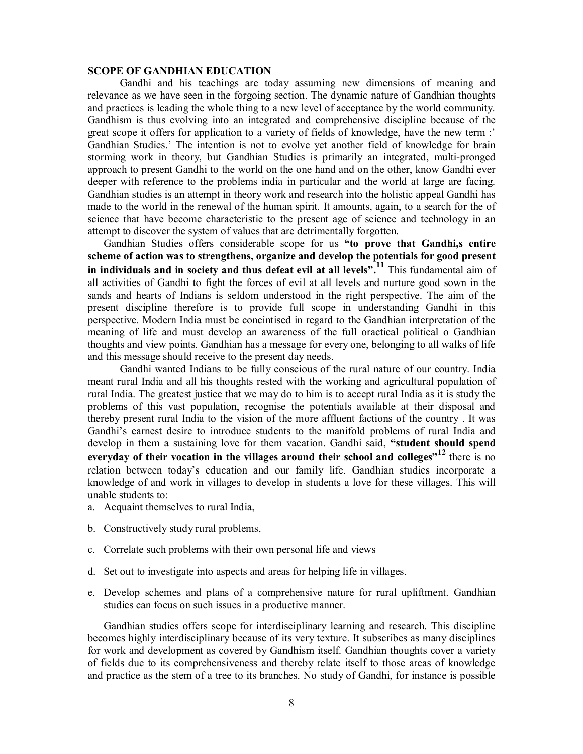#### **SCOPE OF GANDHIAN EDUCATION**

Gandhi and his teachings are today assuming new dimensions of meaning and relevance as we have seen in the forgoing section. The dynamic nature of Gandhian thoughts and practices is leading the whole thing to a new level of acceptance by the world community. Gandhism is thus evolving into an integrated and comprehensive discipline because of the great scope it offers for application to a variety of fields of knowledge, have the new term :' Gandhian Studies.' The intention is not to evolve yet another field of knowledge for brain storming work in theory, but Gandhian Studies is primarily an integrated, multi-pronged approach to present Gandhi to the world on the one hand and on the other, know Gandhi ever deeper with reference to the problems india in particular and the world at large are facing. Gandhian studies is an attempt in theory work and research into the holistic appeal Gandhi has made to the world in the renewal of the human spirit. It amounts, again, to a search for the of science that have become characteristic to the present age of science and technology in an attempt to discover the system of values that are detrimentally forgotten.

Gandhian Studies offers considerable scope for us **"to prove that Gandhi,s entire scheme of action was to strengthens, organize and develop the potentials for good present in individuals and in society and thus defeat evil at all levels".<sup>11</sup>** This fundamental aim of all activities of Gandhi to fight the forces of evil at all levels and nurture good sown in the sands and hearts of Indians is seldom understood in the right perspective. The aim of the present discipline therefore is to provide full scope in understanding Gandhi in this perspective. Modern India must be concintised in regard to the Gandhian interpretation of the meaning of life and must develop an awareness of the full oractical political o Gandhian thoughts and view points. Gandhian has a message for every one, belonging to all walks of life and this message should receive to the present day needs.

Gandhi wanted Indians to be fully conscious of the rural nature of our country. India meant rural India and all his thoughts rested with the working and agricultural population of rural India. The greatest justice that we may do to him is to accept rural India as it is study the problems of this vast population, recognise the potentials available at their disposal and thereby present rural India to the vision of the more affluent factions of the country . It was Gandhi's earnest desire to introduce students to the manifold problems of rural India and develop in them a sustaining love for them vacation. Gandhi said, **"student should spend everyday of their vocation in the villages around their school and colleges"<sup>12</sup>** there is no relation between today's education and our family life. Gandhian studies incorporate a knowledge of and work in villages to develop in students a love for these villages. This will unable students to:

- a. Acquaint themselves to rural India,
- b. Constructively study rural problems,
- c. Correlate such problems with their own personal life and views
- d. Set out to investigate into aspects and areas for helping life in villages.
- e. Develop schemes and plans of a comprehensive nature for rural upliftment. Gandhian studies can focus on such issues in a productive manner.

Gandhian studies offers scope for interdisciplinary learning and research. This discipline becomes highly interdisciplinary because of its very texture. It subscribes as many disciplines for work and development as covered by Gandhism itself. Gandhian thoughts cover a variety of fields due to its comprehensiveness and thereby relate itself to those areas of knowledge and practice as the stem of a tree to its branches. No study of Gandhi, for instance is possible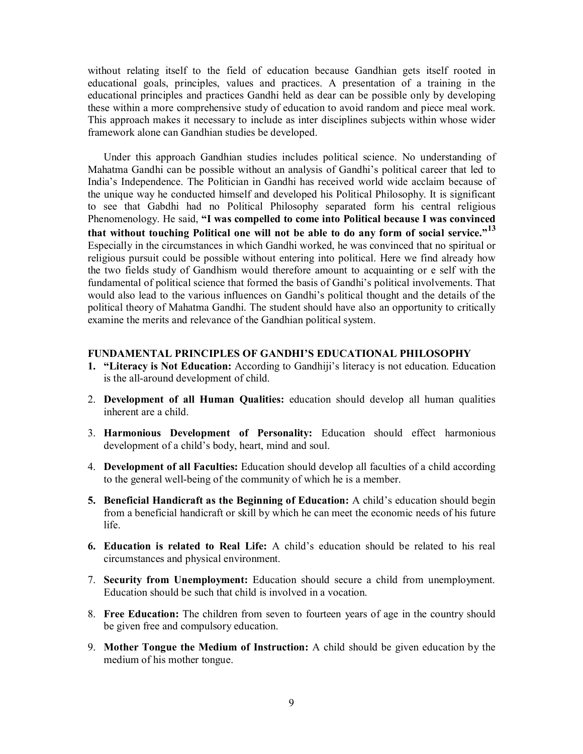without relating itself to the field of education because Gandhian gets itself rooted in educational goals, principles, values and practices. A presentation of a training in the educational principles and practices Gandhi held as dear can be possible only by developing these within a more comprehensive study of education to avoid random and piece meal work. This approach makes it necessary to include as inter disciplines subjects within whose wider framework alone can Gandhian studies be developed.

Under this approach Gandhian studies includes political science. No understanding of Mahatma Gandhi can be possible without an analysis of Gandhi's political career that led to India's Independence. The Politician in Gandhi has received world wide acclaim because of the unique way he conducted himself and developed his Political Philosophy. It is significant to see that Gabdhi had no Political Philosophy separated form his central religious Phenomenology. He said, **"I was compelled to come into Political because I was convinced that without touching Political one will not be able to do any form of social service."<sup>13</sup>** Especially in the circumstances in which Gandhi worked, he was convinced that no spiritual or religious pursuit could be possible without entering into political. Here we find already how the two fields study of Gandhism would therefore amount to acquainting or e self with the fundamental of political science that formed the basis of Gandhi's political involvements. That would also lead to the various influences on Gandhi's political thought and the details of the political theory of Mahatma Gandhi. The student should have also an opportunity to critically examine the merits and relevance of the Gandhian political system.

#### **FUNDAMENTAL PRINCIPLES OF GANDHI'S EDUCATIONAL PHILOSOPHY**

- **1. "Literacy is Not Education:** According to Gandhiji's literacy is not education. Education is the all-around development of child.
- 2. **Development of all Human Qualities:** education should develop all human qualities inherent are a child.
- 3. **Harmonious Development of Personality:** Education should effect harmonious development of a child's body, heart, mind and soul.
- 4. **Development of all Faculties:** Education should develop all faculties of a child according to the general well-being of the community of which he is a member.
- **5. Beneficial Handicraft as the Beginning of Education:** A child's education should begin from a beneficial handicraft or skill by which he can meet the economic needs of his future life.
- **6. Education is related to Real Life:** A child's education should be related to his real circumstances and physical environment.
- 7. **Security from Unemployment:** Education should secure a child from unemployment. Education should be such that child is involved in a vocation.
- 8. **Free Education:** The children from seven to fourteen years of age in the country should be given free and compulsory education.
- 9. **Mother Tongue the Medium of Instruction:** A child should be given education by the medium of his mother tongue.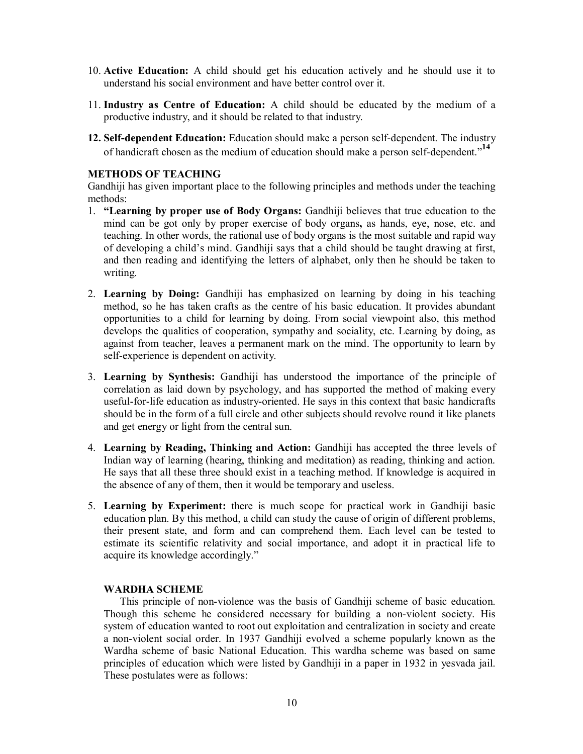- 10. **Active Education:** A child should get his education actively and he should use it to understand his social environment and have better control over it.
- 11. **Industry as Centre of Education:** A child should be educated by the medium of a productive industry, and it should be related to that industry.
- **12. Self-dependent Education:** Education should make a person self-dependent. The industry of handicraft chosen as the medium of education should make a person self-dependent."**<sup>14</sup>**

# **METHODS OF TEACHING**

Gandhiji has given important place to the following principles and methods under the teaching methods:

- 1. **"Learning by proper use of Body Organs:** Gandhiji believes that true education to the mind can be got only by proper exercise of body organs**,** as hands, eye, nose, etc. and teaching. In other words, the rational use of body organs is the most suitable and rapid way of developing a child's mind. Gandhiji says that a child should be taught drawing at first, and then reading and identifying the letters of alphabet, only then he should be taken to writing.
- 2. **Learning by Doing:** Gandhiji has emphasized on learning by doing in his teaching method, so he has taken crafts as the centre of his basic education. It provides abundant opportunities to a child for learning by doing. From social viewpoint also, this method develops the qualities of cooperation, sympathy and sociality, etc. Learning by doing, as against from teacher, leaves a permanent mark on the mind. The opportunity to learn by self-experience is dependent on activity.
- 3. **Learning by Synthesis:** Gandhiji has understood the importance of the principle of correlation as laid down by psychology, and has supported the method of making every useful-for-life education as industry-oriented. He says in this context that basic handicrafts should be in the form of a full circle and other subjects should revolve round it like planets and get energy or light from the central sun.
- 4. **Learning by Reading, Thinking and Action:** Gandhiji has accepted the three levels of Indian way of learning (hearing, thinking and meditation) as reading, thinking and action. He says that all these three should exist in a teaching method. If knowledge is acquired in the absence of any of them, then it would be temporary and useless.
- 5. **Learning by Experiment:** there is much scope for practical work in Gandhiji basic education plan. By this method, a child can study the cause of origin of different problems, their present state, and form and can comprehend them. Each level can be tested to estimate its scientific relativity and social importance, and adopt it in practical life to acquire its knowledge accordingly."

## **WARDHA SCHEME**

This principle of non-violence was the basis of Gandhiji scheme of basic education. Though this scheme he considered necessary for building a non-violent society. His system of education wanted to root out exploitation and centralization in society and create a non-violent social order. In 1937 Gandhiji evolved a scheme popularly known as the Wardha scheme of basic National Education. This wardha scheme was based on same principles of education which were listed by Gandhiji in a paper in 1932 in yesvada jail. These postulates were as follows: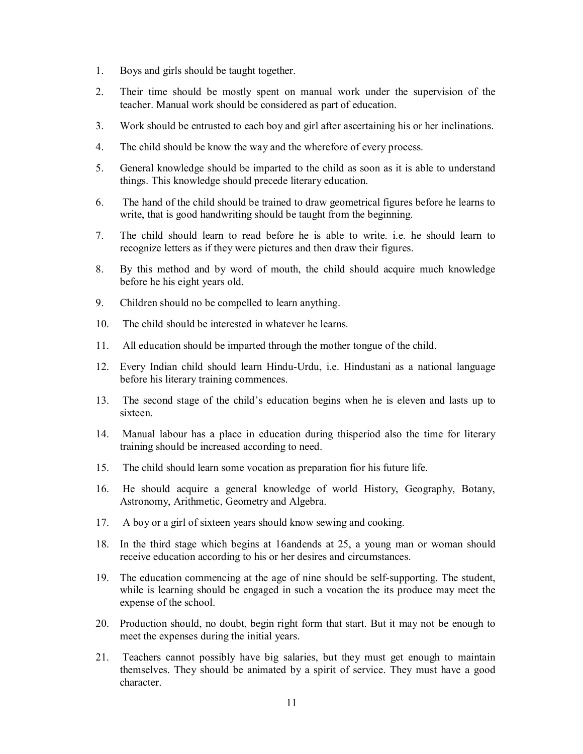- 1. Boys and girls should be taught together.
- 2. Their time should be mostly spent on manual work under the supervision of the teacher. Manual work should be considered as part of education.
- 3. Work should be entrusted to each boy and girl after ascertaining his or her inclinations.
- 4. The child should be know the way and the wherefore of every process.
- 5. General knowledge should be imparted to the child as soon as it is able to understand things. This knowledge should precede literary education.
- 6. The hand of the child should be trained to draw geometrical figures before he learns to write, that is good handwriting should be taught from the beginning.
- 7. The child should learn to read before he is able to write. i.e. he should learn to recognize letters as if they were pictures and then draw their figures.
- 8. By this method and by word of mouth, the child should acquire much knowledge before he his eight years old.
- 9. Children should no be compelled to learn anything.
- 10. The child should be interested in whatever he learns.
- 11. All education should be imparted through the mother tongue of the child.
- 12. Every Indian child should learn Hindu-Urdu, i.e. Hindustani as a national language before his literary training commences.
- 13. The second stage of the child's education begins when he is eleven and lasts up to sixteen.
- 14. Manual labour has a place in education during thisperiod also the time for literary training should be increased according to need.
- 15. The child should learn some vocation as preparation fior his future life.
- 16. He should acquire a general knowledge of world History, Geography, Botany, Astronomy, Arithmetic, Geometry and Algebra.
- 17. A boy or a girl of sixteen years should know sewing and cooking.
- 18. In the third stage which begins at 16andends at 25, a young man or woman should receive education according to his or her desires and circumstances.
- 19. The education commencing at the age of nine should be self-supporting. The student, while is learning should be engaged in such a vocation the its produce may meet the expense of the school.
- 20. Production should, no doubt, begin right form that start. But it may not be enough to meet the expenses during the initial years.
- 21. Teachers cannot possibly have big salaries, but they must get enough to maintain themselves. They should be animated by a spirit of service. They must have a good character.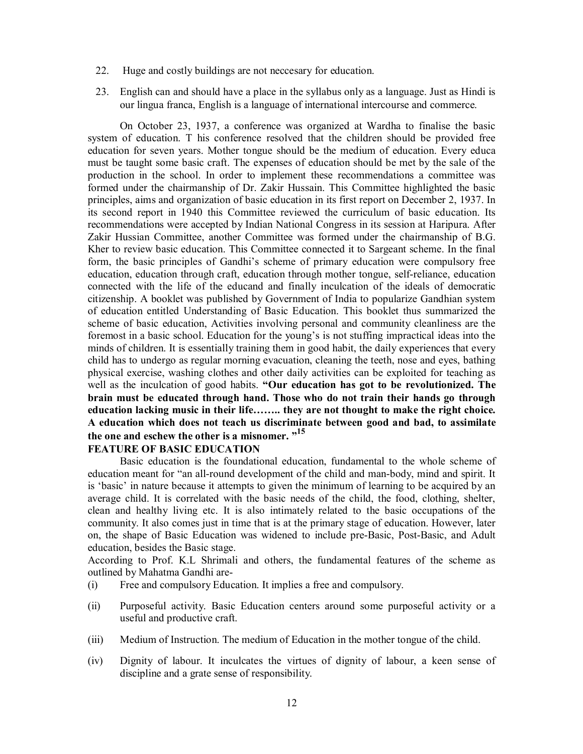- 22. Huge and costly buildings are not neccesary for education.
- 23. English can and should have a place in the syllabus only as a language. Just as Hindi is our lingua franca, English is a language of international intercourse and commerce.

On October 23, 1937, a conference was organized at Wardha to finalise the basic system of education. T his conference resolved that the children should be provided free education for seven years. Mother tongue should be the medium of education. Every educa must be taught some basic craft. The expenses of education should be met by the sale of the production in the school. In order to implement these recommendations a committee was formed under the chairmanship of Dr. Zakir Hussain. This Committee highlighted the basic principles, aims and organization of basic education in its first report on December 2, 1937. In its second report in 1940 this Committee reviewed the curriculum of basic education. Its recommendations were accepted by Indian National Congress in its session at Haripura. After Zakir Hussian Committee, another Committee was formed under the chairmanship of B.G. Kher to review basic education. This Committee connected it to Sargeant scheme. In the final form, the basic principles of Gandhi's scheme of primary education were compulsory free education, education through craft, education through mother tongue, self-reliance, education connected with the life of the educand and finally inculcation of the ideals of democratic citizenship. A booklet was published by Government of India to popularize Gandhian system of education entitled Understanding of Basic Education. This booklet thus summarized the scheme of basic education, Activities involving personal and community cleanliness are the foremost in a basic school. Education for the young's is not stuffing impractical ideas into the minds of children. It is essentially training them in good habit, the daily experiences that every child has to undergo as regular morning evacuation, cleaning the teeth, nose and eyes, bathing physical exercise, washing clothes and other daily activities can be exploited for teaching as well as the inculcation of good habits. **"Our education has got to be revolutionized. The brain must be educated through hand. Those who do not train their hands go through education lacking music in their life…….. they are not thought to make the right choice. A education which does not teach us discriminate between good and bad, to assimilate the one and eschew the other is a misnomer. "<sup>15</sup>**

## **FEATURE OF BASIC EDUCATION**

Basic education is the foundational education, fundamental to the whole scheme of education meant for "an all-round development of the child and man-body, mind and spirit. It is 'basic' in nature because it attempts to given the minimum of learning to be acquired by an average child. It is correlated with the basic needs of the child, the food, clothing, shelter, clean and healthy living etc. It is also intimately related to the basic occupations of the community. It also comes just in time that is at the primary stage of education. However, later on, the shape of Basic Education was widened to include pre-Basic, Post-Basic, and Adult education, besides the Basic stage.

According to Prof. K.L Shrimali and others, the fundamental features of the scheme as outlined by Mahatma Gandhi are-

- (i) Free and compulsory Education. It implies a free and compulsory.
- (ii) Purposeful activity. Basic Education centers around some purposeful activity or a useful and productive craft.
- (iii) Medium of Instruction. The medium of Education in the mother tongue of the child.
- (iv) Dignity of labour. It inculcates the virtues of dignity of labour, a keen sense of discipline and a grate sense of responsibility.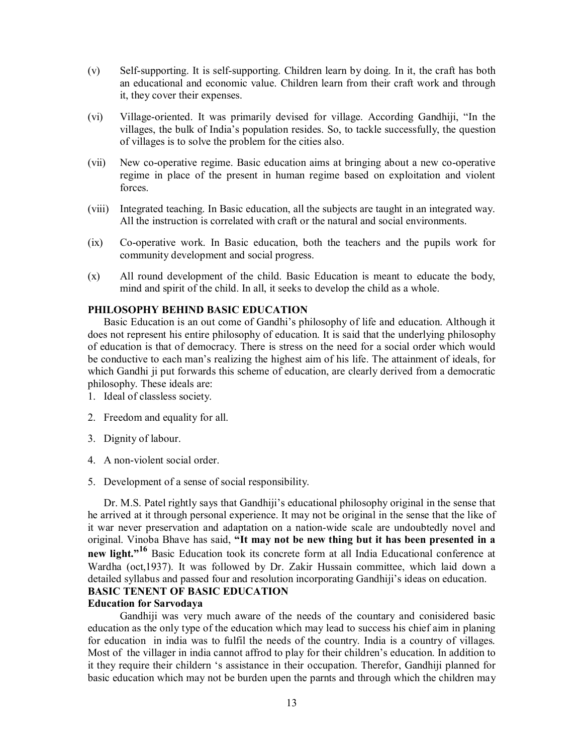- (v) Self-supporting. It is self-supporting. Children learn by doing. In it, the craft has both an educational and economic value. Children learn from their craft work and through it, they cover their expenses.
- (vi) Village-oriented. It was primarily devised for village. According Gandhiji, "In the villages, the bulk of India's population resides. So, to tackle successfully, the question of villages is to solve the problem for the cities also.
- (vii) New co-operative regime. Basic education aims at bringing about a new co-operative regime in place of the present in human regime based on exploitation and violent forces.
- (viii) Integrated teaching. In Basic education, all the subjects are taught in an integrated way. All the instruction is correlated with craft or the natural and social environments.
- (ix) Co-operative work. In Basic education, both the teachers and the pupils work for community development and social progress.
- (x) All round development of the child. Basic Education is meant to educate the body, mind and spirit of the child. In all, it seeks to develop the child as a whole.

# **PHILOSOPHY BEHIND BASIC EDUCATION**

Basic Education is an out come of Gandhi's philosophy of life and education. Although it does not represent his entire philosophy of education. It is said that the underlying philosophy of education is that of democracy. There is stress on the need for a social order which would be conductive to each man's realizing the highest aim of his life. The attainment of ideals, for which Gandhi ji put forwards this scheme of education, are clearly derived from a democratic philosophy. These ideals are:

- 1. Ideal of classless society.
- 2. Freedom and equality for all.
- 3. Dignity of labour.
- 4. A non-violent social order.
- 5. Development of a sense of social responsibility.

Dr. M.S. Patel rightly says that Gandhiji's educational philosophy original in the sense that he arrived at it through personal experience. It may not be original in the sense that the like of it war never preservation and adaptation on a nation-wide scale are undoubtedly novel and original. Vinoba Bhave has said, **"It may not be new thing but it has been presented in a new light."<sup>16</sup>** Basic Education took its concrete form at all India Educational conference at Wardha (oct,1937). It was followed by Dr. Zakir Hussain committee, which laid down a detailed syllabus and passed four and resolution incorporating Gandhiji's ideas on education. **BASIC TENENT OF BASIC EDUCATION**

#### **Education for Sarvodaya**

Gandhiji was very much aware of the needs of the countary and conisidered basic education as the only type of the education which may lead to success his chief aim in planing for education in india was to fulfil the needs of the country. India is a country of villages. Most of the villager in india cannot affrod to play for their children's education. In addition to it they require their childern 's assistance in their occupation. Therefor, Gandhiji planned for basic education which may not be burden upen the parnts and through which the children may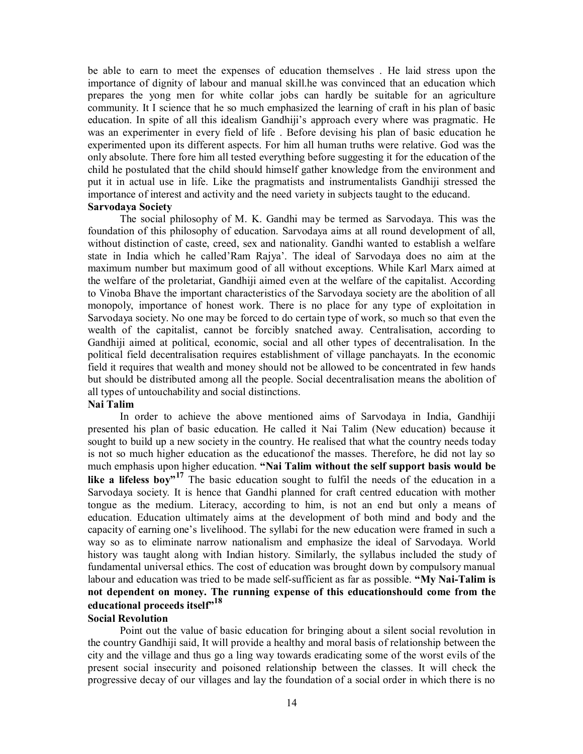be able to earn to meet the expenses of education themselves . He laid stress upon the importance of dignity of labour and manual skill.he was convinced that an education which prepares the yong men for white collar jobs can hardly be suitable for an agriculture community. It I science that he so much emphasized the learning of craft in his plan of basic education. In spite of all this idealism Gandhiji's approach every where was pragmatic. He was an experimenter in every field of life . Before devising his plan of basic education he experimented upon its different aspects. For him all human truths were relative. God was the only absolute. There fore him all tested everything before suggesting it for the education of the child he postulated that the child should himself gather knowledge from the environment and put it in actual use in life. Like the pragmatists and instrumentalists Gandhiji stressed the importance of interest and activity and the need variety in subjects taught to the educand. **Sarvodaya Society** 

# The social philosophy of M. K. Gandhi may be termed as Sarvodaya. This was the foundation of this philosophy of education. Sarvodaya aims at all round development of all,

without distinction of caste, creed, sex and nationality. Gandhi wanted to establish a welfare state in India which he called'Ram Rajya'. The ideal of Sarvodaya does no aim at the maximum number but maximum good of all without exceptions. While Karl Marx aimed at the welfare of the proletariat, Gandhiji aimed even at the welfare of the capitalist. According to Vinoba Bhave the important characteristics of the Sarvodaya society are the abolition of all monopoly, importance of honest work. There is no place for any type of exploitation in Sarvodaya society. No one may be forced to do certain type of work, so much so that even the wealth of the capitalist, cannot be forcibly snatched away. Centralisation, according to Gandhiji aimed at political, economic, social and all other types of decentralisation. In the political field decentralisation requires establishment of village panchayats. In the economic field it requires that wealth and money should not be allowed to be concentrated in few hands but should be distributed among all the people. Social decentralisation means the abolition of all types of untouchability and social distinctions.

#### **Nai Talim**

In order to achieve the above mentioned aims of Sarvodaya in India, Gandhiji presented his plan of basic education. He called it Nai Talim (New education) because it sought to build up a new society in the country. He realised that what the country needs today is not so much higher education as the educationof the masses. Therefore, he did not lay so much emphasis upon higher education. **"Nai Talim without the self support basis would be like a lifeless boy"<sup>17</sup>** The basic education sought to fulfil the needs of the education in a Sarvodaya society. It is hence that Gandhi planned for craft centred education with mother tongue as the medium. Literacy, according to him, is not an end but only a means of education. Education ultimately aims at the development of both mind and body and the capacity of earning one's livelihood. The syllabi for the new education were framed in such a way so as to eliminate narrow nationalism and emphasize the ideal of Sarvodaya. World history was taught along with Indian history. Similarly, the syllabus included the study of fundamental universal ethics. The cost of education was brought down by compulsory manual labour and education was tried to be made self-sufficient as far as possible. **"My Nai-Talim is not dependent on money. The running expense of this educationshould come from the educational proceeds itself"<sup>18</sup>**

# **Social Revolution**

Point out the value of basic education for bringing about a silent social revolution in the country Gandhiji said, It will provide a healthy and moral basis of relationship between the city and the village and thus go a ling way towards eradicating some of the worst evils of the present social insecurity and poisoned relationship between the classes. It will check the progressive decay of our villages and lay the foundation of a social order in which there is no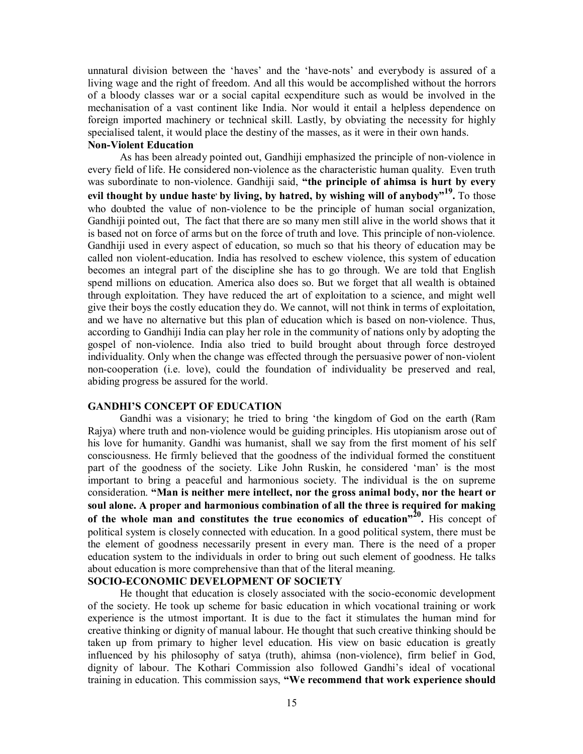unnatural division between the 'haves' and the 'have-nots' and everybody is assured of a living wage and the right of freedom. And all this would be accomplished without the horrors of a bloody classes war or a social capital ecxpenditure such as would be involved in the mechanisation of a vast continent like India. Nor would it entail a helpless dependence on foreign imported machinery or technical skill. Lastly, by obviating the necessity for highly specialised talent, it would place the destiny of the masses, as it were in their own hands.

#### **Non-Violent Education**

As has been already pointed out, Gandhiji emphasized the principle of non-violence in every field of life. He considered non-violence as the characteristic human quality. Even truth was subordinate to non-violence. Gandhiji said, **"the principle of ahimsa is hurt by every evil thought by undue haste, by living, by hatred, by wishing will of anybody"<sup>19</sup> .** To those who doubted the value of non-violence to be the principle of human social organization, Gandhiji pointed out, The fact that there are so many men still alive in the world shows that it is based not on force of arms but on the force of truth and love. This principle of non-violence. Gandhiji used in every aspect of education, so much so that his theory of education may be called non violent-education. India has resolved to eschew violence, this system of education becomes an integral part of the discipline she has to go through. We are told that English spend millions on education. America also does so. But we forget that all wealth is obtained through exploitation. They have reduced the art of exploitation to a science, and might well give their boys the costly education they do. We cannot, will not think in terms of exploitation, and we have no alternative but this plan of education which is based on non-violence. Thus, according to Gandhiji India can play her role in the community of nations only by adopting the gospel of non-violence. India also tried to build brought about through force destroyed individuality. Only when the change was effected through the persuasive power of non-violent non-cooperation (i.e. love), could the foundation of individuality be preserved and real, abiding progress be assured for the world.

# **GANDHI'S CONCEPT OF EDUCATION**

Gandhi was a visionary; he tried to bring 'the kingdom of God on the earth (Ram Rajya) where truth and non-violence would be guiding principles. His utopianism arose out of his love for humanity. Gandhi was humanist, shall we say from the first moment of his self consciousness. He firmly believed that the goodness of the individual formed the constituent part of the goodness of the society. Like John Ruskin, he considered 'man' is the most important to bring a peaceful and harmonious society. The individual is the on supreme consideration. **"Man is neither mere intellect, nor the gross animal body, nor the heart or soul alone. A proper and harmonious combination of all the three is required for making**  of the whole man and constitutes the true economics of education<sup> $n^{20}$ </sup>. His concept of political system is closely connected with education. In a good political system, there must be the element of goodness necessarily present in every man. There is the need of a proper education system to the individuals in order to bring out such element of goodness. He talks about education is more comprehensive than that of the literal meaning.

# **SOCIO-ECONOMIC DEVELOPMENT OF SOCIETY**

He thought that education is closely associated with the socio-economic development of the society. He took up scheme for basic education in which vocational training or work experience is the utmost important. It is due to the fact it stimulates the human mind for creative thinking or dignity of manual labour. He thought that such creative thinking should be taken up from primary to higher level education. His view on basic education is greatly influenced by his philosophy of satya (truth), ahimsa (non-violence), firm belief in God, dignity of labour. The Kothari Commission also followed Gandhi's ideal of vocational training in education. This commission says, **"We recommend that work experience should**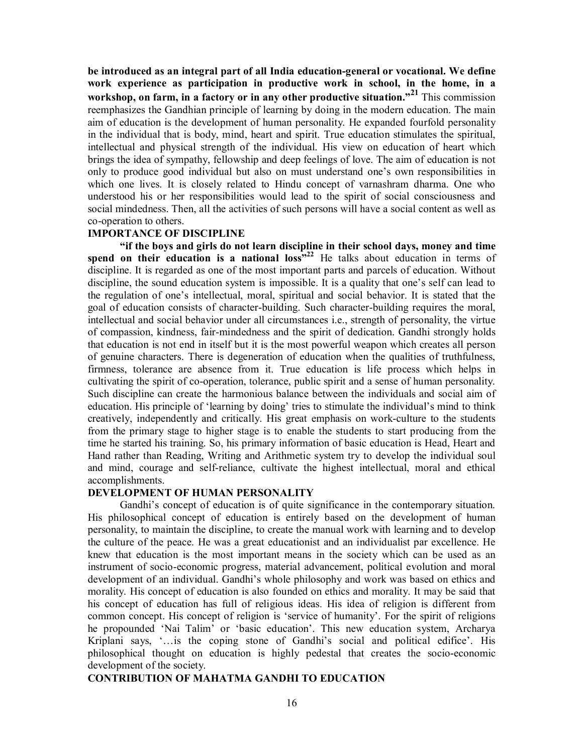**be introduced as an integral part of all India education-general or vocational. We define work experience as participation in productive work in school, in the home, in a workshop, on farm, in a factory or in any other productive situation."<sup>21</sup>** This commission reemphasizes the Gandhian principle of learning by doing in the modern education. The main aim of education is the development of human personality. He expanded fourfold personality in the individual that is body, mind, heart and spirit. True education stimulates the spiritual, intellectual and physical strength of the individual. His view on education of heart which brings the idea of sympathy, fellowship and deep feelings of love. The aim of education is not only to produce good individual but also on must understand one's own responsibilities in which one lives. It is closely related to Hindu concept of varnashram dharma. One who understood his or her responsibilities would lead to the spirit of social consciousness and social mindedness. Then, all the activities of such persons will have a social content as well as co-operation to others.

### **IMPORTANCE OF DISCIPLINE**

**"if the boys and girls do not learn discipline in their school days, money and time**  spend on their education is a national loss<sup>32</sup> He talks about education in terms of discipline. It is regarded as one of the most important parts and parcels of education. Without discipline, the sound education system is impossible. It is a quality that one's self can lead to the regulation of one's intellectual, moral, spiritual and social behavior. It is stated that the goal of education consists of character-building. Such character-building requires the moral, intellectual and social behavior under all circumstances i.e., strength of personality, the virtue of compassion, kindness, fair-mindedness and the spirit of dedication. Gandhi strongly holds that education is not end in itself but it is the most powerful weapon which creates all person of genuine characters. There is degeneration of education when the qualities of truthfulness, firmness, tolerance are absence from it. True education is life process which helps in cultivating the spirit of co-operation, tolerance, public spirit and a sense of human personality. Such discipline can create the harmonious balance between the individuals and social aim of education. His principle of 'learning by doing' tries to stimulate the individual's mind to think creatively, independently and critically. His great emphasis on work-culture to the students from the primary stage to higher stage is to enable the students to start producing from the time he started his training. So, his primary information of basic education is Head, Heart and Hand rather than Reading, Writing and Arithmetic system try to develop the individual soul and mind, courage and self-reliance, cultivate the highest intellectual, moral and ethical accomplishments.

# **DEVELOPMENT OF HUMAN PERSONALITY**

Gandhi's concept of education is of quite significance in the contemporary situation. His philosophical concept of education is entirely based on the development of human personality, to maintain the discipline, to create the manual work with learning and to develop the culture of the peace. He was a great educationist and an individualist par excellence. He knew that education is the most important means in the society which can be used as an instrument of socio-economic progress, material advancement, political evolution and moral development of an individual. Gandhi's whole philosophy and work was based on ethics and morality. His concept of education is also founded on ethics and morality. It may be said that his concept of education has full of religious ideas. His idea of religion is different from common concept. His concept of religion is 'service of humanity'. For the spirit of religions he propounded 'Nai Talim' or 'basic education'. This new education system, Archarya Kriplani says, '…is the coping stone of Gandhi's social and political edifice'. His philosophical thought on education is highly pedestal that creates the socio-economic development of the society.

# **CONTRIBUTION OF MAHATMA GANDHI TO EDUCATION**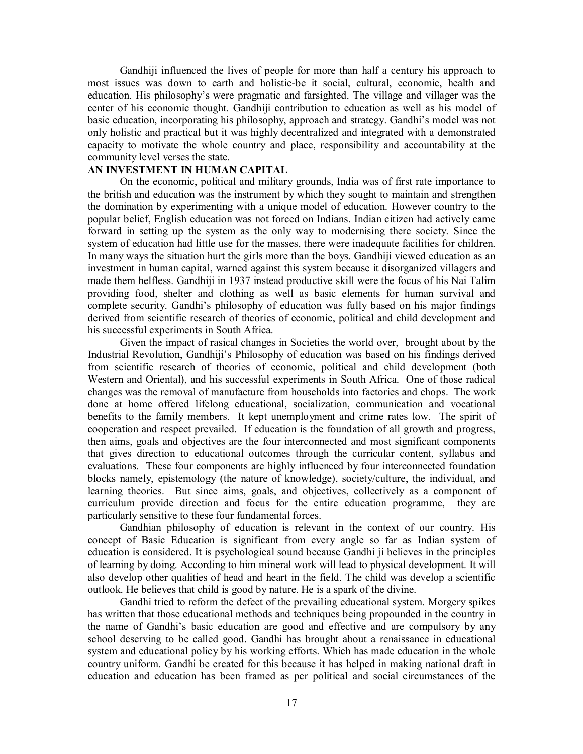Gandhiji influenced the lives of people for more than half a century his approach to most issues was down to earth and holistic-be it social, cultural, economic, health and education. His philosophy's were pragmatic and farsighted. The village and villager was the center of his economic thought. Gandhiji contribution to education as well as his model of basic education, incorporating his philosophy, approach and strategy. Gandhi's model was not only holistic and practical but it was highly decentralized and integrated with a demonstrated capacity to motivate the whole country and place, responsibility and accountability at the community level verses the state.

# **AN INVESTMENT IN HUMAN CAPITAL**

On the economic, political and military grounds, India was of first rate importance to the british and education was the instrument by which they sought to maintain and strengthen the domination by experimenting with a unique model of education. However country to the popular belief, English education was not forced on Indians. Indian citizen had actively came forward in setting up the system as the only way to modernising there society. Since the system of education had little use for the masses, there were inadequate facilities for children. In many ways the situation hurt the girls more than the boys. Gandhiji viewed education as an investment in human capital, warned against this system because it disorganized villagers and made them helfless. Gandhiji in 1937 instead productive skill were the focus of his Nai Talim providing food, shelter and clothing as well as basic elements for human survival and complete security. Gandhi's philosophy of education was fully based on his major findings derived from scientific research of theories of economic, political and child development and his successful experiments in South Africa.

Given the impact of rasical changes in Societies the world over, brought about by the Industrial Revolution, Gandhiji's Philosophy of education was based on his findings derived from scientific research of theories of economic, political and child development (both Western and Oriental), and his successful experiments in South Africa. One of those radical changes was the removal of manufacture from households into factories and chops. The work done at home offered lifelong educational, socialization, communication and vocational benefits to the family members. It kept unemployment and crime rates low. The spirit of cooperation and respect prevailed. If education is the foundation of all growth and progress, then aims, goals and objectives are the four interconnected and most significant components that gives direction to educational outcomes through the curricular content, syllabus and evaluations. These four components are highly influenced by four interconnected foundation blocks namely, epistemology (the nature of knowledge), society/culture, the individual, and learning theories. But since aims, goals, and objectives, collectively as a component of curriculum provide direction and focus for the entire education programme, they are particularly sensitive to these four fundamental forces.

Gandhian philosophy of education is relevant in the context of our country. His concept of Basic Education is significant from every angle so far as Indian system of education is considered. It is psychological sound because Gandhi ji believes in the principles of learning by doing. According to him mineral work will lead to physical development. It will also develop other qualities of head and heart in the field. The child was develop a scientific outlook. He believes that child is good by nature. He is a spark of the divine.

Gandhi tried to reform the defect of the prevailing educational system. Morgery spikes has written that those educational methods and techniques being propounded in the country in the name of Gandhi's basic education are good and effective and are compulsory by any school deserving to be called good. Gandhi has brought about a renaissance in educational system and educational policy by his working efforts. Which has made education in the whole country uniform. Gandhi be created for this because it has helped in making national draft in education and education has been framed as per political and social circumstances of the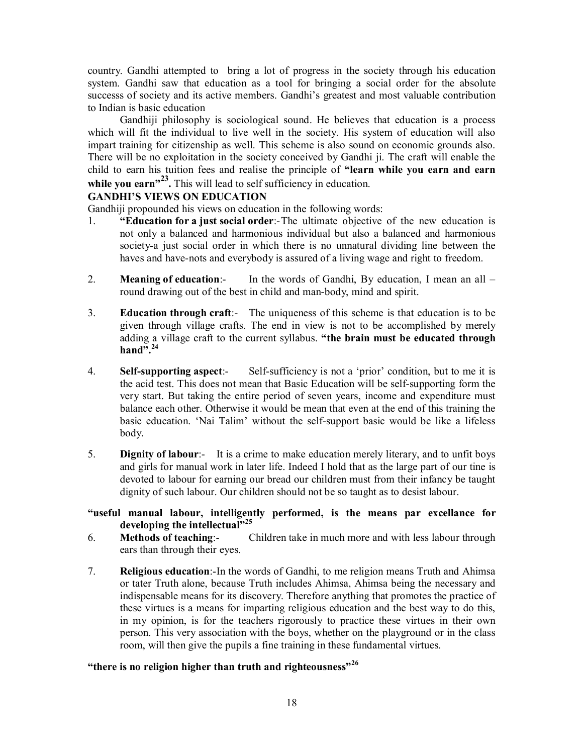country. Gandhi attempted to bring a lot of progress in the society through his education system. Gandhi saw that education as a tool for bringing a social order for the absolute successs of society and its active members. Gandhi's greatest and most valuable contribution to Indian is basic education

Gandhiji philosophy is sociological sound. He believes that education is a process which will fit the individual to live well in the society. His system of education will also impart training for citizenship as well. This scheme is also sound on economic grounds also. There will be no exploitation in the society conceived by Gandhi ji. The craft will enable the child to earn his tuition fees and realise the principle of **"learn while you earn and earn**  while you earn<sup>,23</sup>. This will lead to self sufficiency in education.

# **GANDHI'S VIEWS ON EDUCATION**

Gandhiji propounded his views on education in the following words:

- 1. **"Education for a just social order**:-The ultimate objective of the new education is not only a balanced and harmonious individual but also a balanced and harmonious society-a just social order in which there is no unnatural dividing line between the haves and have-nots and everybody is assured of a living wage and right to freedom.
- 2. **Meaning of education**:- In the words of Gandhi, By education, I mean an all round drawing out of the best in child and man-body, mind and spirit.
- 3. **Education through craft**:- The uniqueness of this scheme is that education is to be given through village crafts. The end in view is not to be accomplished by merely adding a village craft to the current syllabus. **"the brain must be educated through**   $hand$ <sup> $\overline{?}$ </sup> $.$ <sup>24</sup>
- 4. **Self-supporting aspect**:- Self-sufficiency is not a 'prior' condition, but to me it is the acid test. This does not mean that Basic Education will be self-supporting form the very start. But taking the entire period of seven years, income and expenditure must balance each other. Otherwise it would be mean that even at the end of this training the basic education. 'Nai Talim' without the self-support basic would be like a lifeless body.
- 5. **Dignity of labour**:- It is a crime to make education merely literary, and to unfit boys and girls for manual work in later life. Indeed I hold that as the large part of our tine is devoted to labour for earning our bread our children must from their infancy be taught dignity of such labour. Our children should not be so taught as to desist labour.

# **"useful manual labour, intelligently performed, is the means par excellance for developing the intellectual"<sup>25</sup>**

- 6. **Methods of teaching**:- Children take in much more and with less labour through ears than through their eyes.
- 7. **Religious education**:-In the words of Gandhi, to me religion means Truth and Ahimsa or tater Truth alone, because Truth includes Ahimsa, Ahimsa being the necessary and indispensable means for its discovery. Therefore anything that promotes the practice of these virtues is a means for imparting religious education and the best way to do this, in my opinion, is for the teachers rigorously to practice these virtues in their own person. This very association with the boys, whether on the playground or in the class room, will then give the pupils a fine training in these fundamental virtues.

# **"there is no religion higher than truth and righteousness"<sup>26</sup>**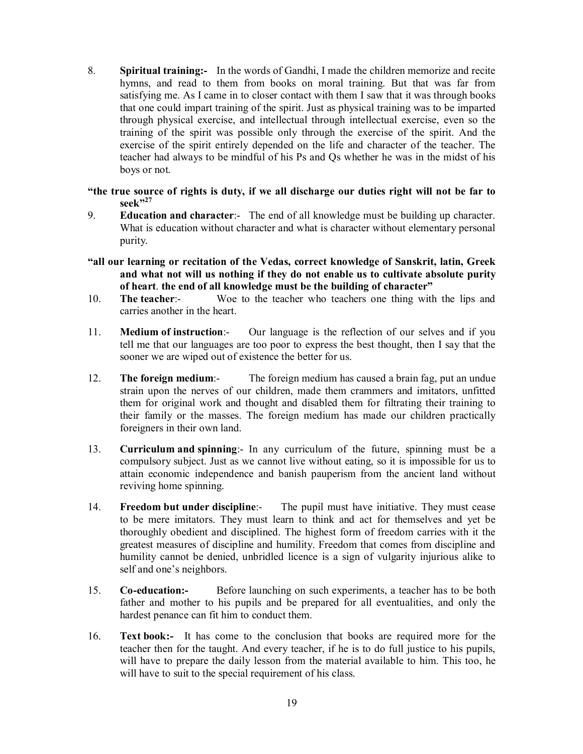8. **Spiritual training:-** In the words of Gandhi, I made the children memorize and recite hymns, and read to them from books on moral training. But that was far from satisfying me. As I came in to closer contact with them I saw that it was through books that one could impart training of the spirit. Just as physical training was to be imparted through physical exercise, and intellectual through intellectual exercise, even so the training of the spirit was possible only through the exercise of the spirit. And the exercise of the spirit entirely depended on the life and character of the teacher. The teacher had always to be mindful of his Ps and Qs whether he was in the midst of his boys or not.

**"the true source of rights is duty, if we all discharge our duties right will not be far to seek"<sup>27</sup>**

- 9. **Education and character**:- The end of all knowledge must be building up character. What is education without character and what is character without elementary personal purity.
- **"all our learning or recitation of the Vedas, correct knowledge of Sanskrit, latin, Greek and what not will us nothing if they do not enable us to cultivate absolute purity of heart**. **the end of all knowledge must be the building of character"**
- 10. **The teacher**:- Woe to the teacher who teachers one thing with the lips and carries another in the heart.
- 11. **Medium of instruction**:- Our language is the reflection of our selves and if you tell me that our languages are too poor to express the best thought, then I say that the sooner we are wiped out of existence the better for us.
- 12. **The foreign medium**:- The foreign medium has caused a brain fag, put an undue strain upon the nerves of our children, made them crammers and imitators, unfitted them for original work and thought and disabled them for filtrating their training to their family or the masses. The foreign medium has made our children practically foreigners in their own land.
- 13. **Curriculum and spinning**:- In any curriculum of the future, spinning must be a compulsory subject. Just as we cannot live without eating, so it is impossible for us to attain economic independence and banish pauperism from the ancient land without reviving home spinning.
- 14. **Freedom but under discipline**:- The pupil must have initiative. They must cease to be mere imitators. They must learn to think and act for themselves and yet be thoroughly obedient and disciplined. The highest form of freedom carries with it the greatest measures of discipline and humility. Freedom that comes from discipline and humility cannot be denied, unbridled licence is a sign of vulgarity injurious alike to self and one's neighbors.
- 15. **Co-education:-** Before launching on such experiments, a teacher has to be both father and mother to his pupils and be prepared for all eventualities, and only the hardest penance can fit him to conduct them.
- 16. **Text book:-** It has come to the conclusion that books are required more for the teacher then for the taught. And every teacher, if he is to do full justice to his pupils, will have to prepare the daily lesson from the material available to him. This too, he will have to suit to the special requirement of his class.